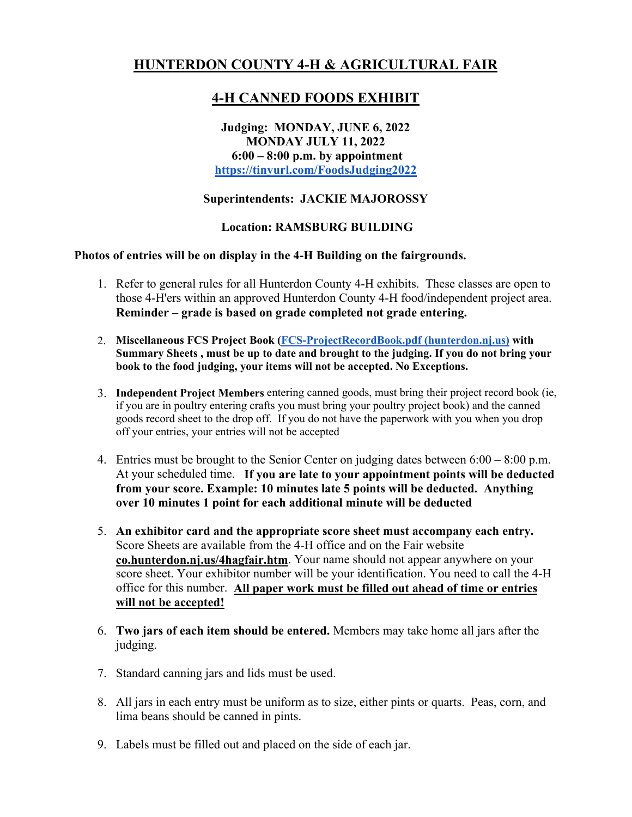# **HUNTERDON COUNTY 4-H & AGRICULTURAL FAIR**

# **4-H CANNED FOODS EXHIBIT**

### **Judging: MONDAY, JUNE 6, 2022 MONDAY JULY 11, 2022 6:00 – 8:00 p.m. by appointment https://tinyurl.com/FoodsJudging2022**

## **Superintendents: JACKIE MAJOROSSY**

### **Location: RAMSBURG BUILDING**

#### **Photos of entries will be on display in the 4-H Building on the fairgrounds.**

- 1. Refer to general rules for all Hunterdon County 4-H exhibits. These classes are open to those 4-H'ers within an approved Hunterdon County 4-H food/independent project area. **Reminder – grade is based on grade completed not grade entering.**
- 2. **Miscellaneous FCS Project Book (FCS-ProjectRecordBook.pdf (hunterdon.nj.us) with Summary Sheets , must be up to date and brought to the judging. If you do not bring your book to the food judging, your items will not be accepted. No Exceptions.**
- 3. **Independent Project Members** entering canned goods, must bring their project record book (ie, if you are in poultry entering crafts you must bring your poultry project book) and the canned goods record sheet to the drop off. If you do not have the paperwork with you when you drop off your entries, your entries will not be accepted
- 4. Entries must be brought to the Senior Center on judging dates between 6:00 8:00 p.m. At your scheduled time. **If you are late to your appointment points will be deducted from your score. Example: 10 minutes late 5 points will be deducted. Anything over 10 minutes 1 point for each additional minute will be deducted**
- 5. **An exhibitor card and the appropriate score sheet must accompany each entry.**  Score Sheets are available from the 4-H office and on the Fair website **co.hunterdon.nj.us/4hagfair.htm**. Your name should not appear anywhere on your score sheet. Your exhibitor number will be your identification. You need to call the 4-H office for this number. **All paper work must be filled out ahead of time or entries will not be accepted!**
- 6. **Two jars of each item should be entered.** Members may take home all jars after the judging.
- 7. Standard canning jars and lids must be used.
- 8. All jars in each entry must be uniform as to size, either pints or quarts. Peas, corn, and lima beans should be canned in pints.
- 9. Labels must be filled out and placed on the side of each jar.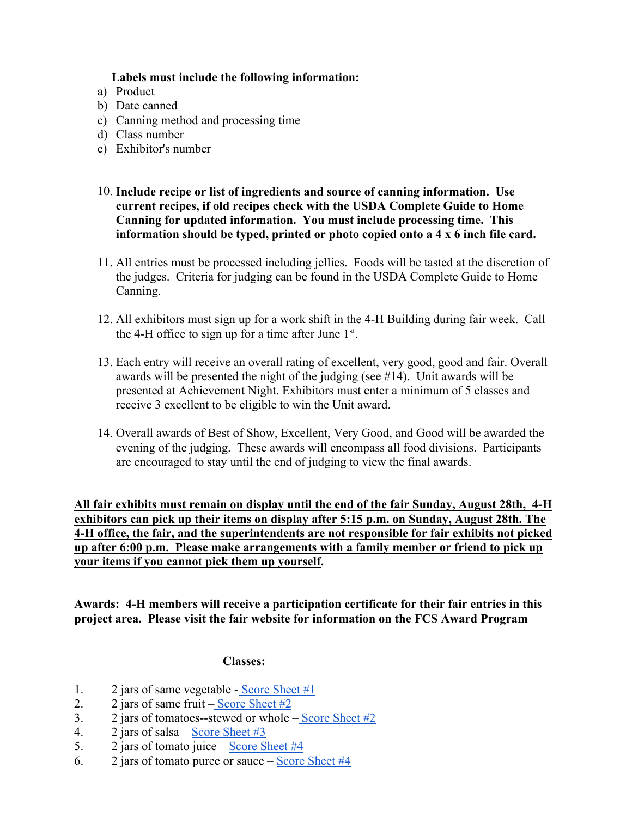#### **Labels must include the following information:**

- a) Product
- b) Date canned
- c) Canning method and processing time
- d) Class number
- e) Exhibitor's number
- 10. **Include recipe or list of ingredients and source of canning information. Use current recipes, if old recipes check with the USDA Complete Guide to Home Canning for updated information. You must include processing time. This information should be typed, printed or photo copied onto a 4 x 6 inch file card.**
- 11. All entries must be processed including jellies. Foods will be tasted at the discretion of the judges. Criteria for judging can be found in the USDA Complete Guide to Home Canning.
- 12. All exhibitors must sign up for a work shift in the 4-H Building during fair week. Call the 4-H office to sign up for a time after June  $1<sup>st</sup>$ .
- 13. Each entry will receive an overall rating of excellent, very good, good and fair. Overall awards will be presented the night of the judging (see #14). Unit awards will be presented at Achievement Night. Exhibitors must enter a minimum of 5 classes and receive 3 excellent to be eligible to win the Unit award.
- 14. Overall awards of Best of Show, Excellent, Very Good, and Good will be awarded the evening of the judging. These awards will encompass all food divisions. Participants are encouraged to stay until the end of judging to view the final awards.

**All fair exhibits must remain on display until the end of the fair Sunday, August 28th, 4-H exhibitors can pick up their items on display after 5:15 p.m. on Sunday, August 28th. The 4-H office, the fair, and the superintendents are not responsible for fair exhibits not picked up after 6:00 p.m. Please make arrangements with a family member or friend to pick up your items if you cannot pick them up yourself.**

**Awards: 4-H members will receive a participation certificate for their fair entries in this project area. Please visit the fair website for information on the FCS Award Program** 

#### **Classes:**

- 1. 2 jars of same vegetable Score Sheet #1
- 2. 2 jars of same fruit Score Sheet  $#2$
- 3. 2 jars of tomatoes--stewed or whole Score Sheet  $#2$
- 4. 2 jars of salsa Score Sheet #3
- 5. 2 jars of tomato juice Score Sheet #4
- 6. 2 jars of tomato puree or sauce Score Sheet  $#4$